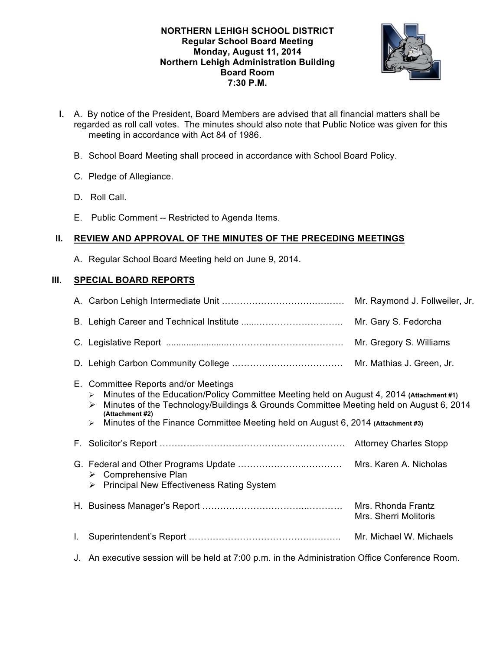# **NORTHERN LEHIGH SCHOOL DISTRICT Regular School Board Meeting Monday, August 11, 2014 Northern Lehigh Administration Building Board Room 7:30 P.M.**



- **I.** A. By notice of the President, Board Members are advised that all financial matters shall be regarded as roll call votes. The minutes should also note that Public Notice was given for this meeting in accordance with Act 84 of 1986.
	- B. School Board Meeting shall proceed in accordance with School Board Policy.
	- C. Pledge of Allegiance.
	- D. Roll Call.
	- E. Public Comment -- Restricted to Agenda Items.

# **II. REVIEW AND APPROVAL OF THE MINUTES OF THE PRECEDING MEETINGS**

A. Regular School Board Meeting held on June 9, 2014.

# **III. SPECIAL BOARD REPORTS**

|    |                                                                                                                                                                                                                                                                                                                                                                     | Mr. Raymond J. Follweiler, Jr.              |
|----|---------------------------------------------------------------------------------------------------------------------------------------------------------------------------------------------------------------------------------------------------------------------------------------------------------------------------------------------------------------------|---------------------------------------------|
|    | Mr. Gary S. Fedorcha                                                                                                                                                                                                                                                                                                                                                |                                             |
|    |                                                                                                                                                                                                                                                                                                                                                                     | Mr. Gregory S. Williams                     |
|    |                                                                                                                                                                                                                                                                                                                                                                     | Mr. Mathias J. Green, Jr.                   |
|    | E. Committee Reports and/or Meetings<br>Minutes of the Education/Policy Committee Meeting held on August 4, 2014 (Attachment #1)<br>$\blacktriangleright$<br>Minutes of the Technology/Buildings & Grounds Committee Meeting held on August 6, 2014<br>➤<br>(Attachment #2)<br>Minutes of the Finance Committee Meeting held on August 6, 2014 (Attachment #3)<br>≻ |                                             |
|    |                                                                                                                                                                                                                                                                                                                                                                     |                                             |
|    | $\triangleright$ Comprehensive Plan<br>> Principal New Effectiveness Rating System                                                                                                                                                                                                                                                                                  |                                             |
|    |                                                                                                                                                                                                                                                                                                                                                                     | Mrs. Rhonda Frantz<br>Mrs. Sherri Molitoris |
| L. |                                                                                                                                                                                                                                                                                                                                                                     | Mr. Michael W. Michaels                     |
|    |                                                                                                                                                                                                                                                                                                                                                                     |                                             |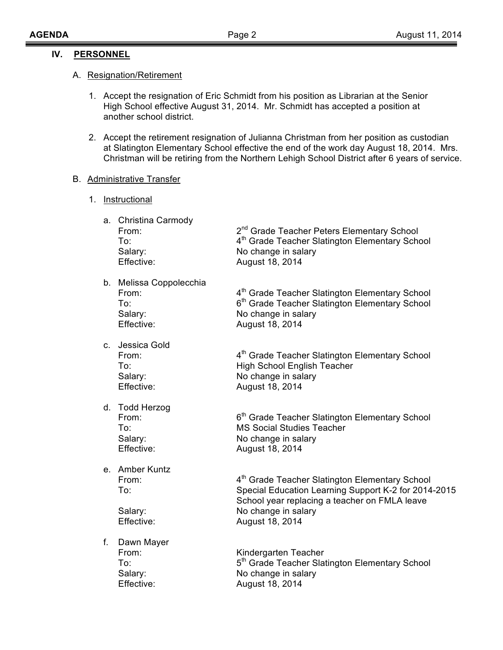# **IV. PERSONNEL**

## A. Resignation/Retirement

- 1. Accept the resignation of Eric Schmidt from his position as Librarian at the Senior High School effective August 31, 2014. Mr. Schmidt has accepted a position at another school district.
- 2. Accept the retirement resignation of Julianna Christman from her position as custodian at Slatington Elementary School effective the end of the work day August 18, 2014. Mrs. Christman will be retiring from the Northern Lehigh School District after 6 years of service.

# B. Administrative Transfer

1. Instructional

|    | a. Christina Carmody<br>From:<br>To:<br>Salary:<br>Effective:    | 2 <sup>nd</sup> Grade Teacher Peters Elementary School<br>4 <sup>th</sup> Grade Teacher Slatington Elementary School<br>No change in salary<br>August 18, 2014                                                |
|----|------------------------------------------------------------------|---------------------------------------------------------------------------------------------------------------------------------------------------------------------------------------------------------------|
|    | b. Melissa Coppolecchia<br>From:<br>To:<br>Salary:<br>Effective: | 4 <sup>th</sup> Grade Teacher Slatington Elementary School<br>6 <sup>th</sup> Grade Teacher Slatington Elementary School<br>No change in salary<br>August 18, 2014                                            |
|    | c. Jessica Gold<br>From:<br>To:<br>Salary:<br>Effective:         | 4 <sup>th</sup> Grade Teacher Slatington Elementary School<br><b>High School English Teacher</b><br>No change in salary<br>August 18, 2014                                                                    |
|    | d. Todd Herzog<br>From:<br>To:<br>Salary:<br>Effective:          | 6 <sup>th</sup> Grade Teacher Slatington Elementary School<br><b>MS Social Studies Teacher</b><br>No change in salary<br>August 18, 2014                                                                      |
|    | e. Amber Kuntz<br>From:<br>To:<br>Salary:<br>Effective:          | 4 <sup>th</sup> Grade Teacher Slatington Elementary School<br>Special Education Learning Support K-2 for 2014-2015<br>School year replacing a teacher on FMLA leave<br>No change in salary<br>August 18, 2014 |
| f. | Dawn Mayer<br>From:<br>To:<br>Salary:<br>Effective:              | Kindergarten Teacher<br>5 <sup>th</sup> Grade Teacher Slatington Elementary School<br>No change in salary<br>August 18, 2014                                                                                  |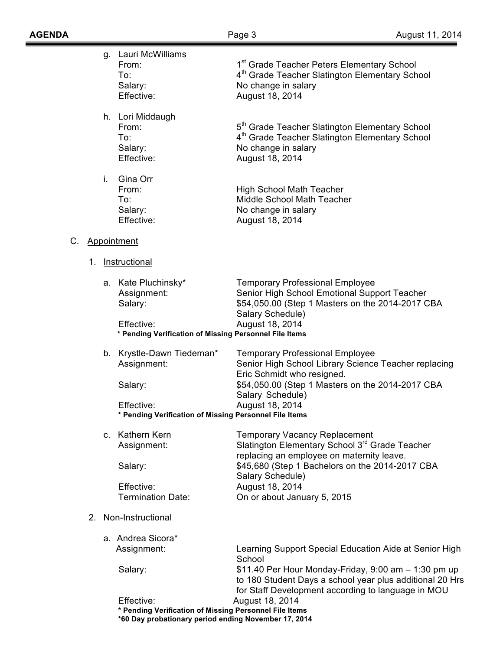≡

|    |    |    | g. Lauri McWilliams<br>From:<br>To:<br>Salary:<br>Effective:                                                                 | 1 <sup>st</sup> Grade Teacher Peters Elementary School<br>4 <sup>th</sup> Grade Teacher Slatington Elementary School<br>No change in salary<br>August 18, 2014            |
|----|----|----|------------------------------------------------------------------------------------------------------------------------------|---------------------------------------------------------------------------------------------------------------------------------------------------------------------------|
|    |    |    | h. Lori Middaugh<br>From:<br>To:<br>Salary:<br>Effective:                                                                    | 5 <sup>th</sup> Grade Teacher Slatington Elementary School<br>4 <sup>th</sup> Grade Teacher Slatington Elementary School<br>No change in salary<br>August 18, 2014        |
|    |    | i. | Gina Orr<br>From:<br>To:<br>Salary:<br>Effective:                                                                            | <b>High School Math Teacher</b><br>Middle School Math Teacher<br>No change in salary<br>August 18, 2014                                                                   |
| C. |    |    | Appointment                                                                                                                  |                                                                                                                                                                           |
|    | 1. |    | Instructional                                                                                                                |                                                                                                                                                                           |
|    |    |    | a. Kate Pluchinsky*<br>Assignment:<br>Salary:                                                                                | <b>Temporary Professional Employee</b><br>Senior High School Emotional Support Teacher<br>\$54,050.00 (Step 1 Masters on the 2014-2017 CBA                                |
|    |    |    | Effective:<br>* Pending Verification of Missing Personnel File Items                                                         | Salary Schedule)<br>August 18, 2014                                                                                                                                       |
|    |    |    | b. Krystle-Dawn Tiedeman*<br>Assignment:                                                                                     | <b>Temporary Professional Employee</b><br>Senior High School Library Science Teacher replacing<br>Eric Schmidt who resigned.                                              |
|    |    |    | Salary:                                                                                                                      | \$54,050.00 (Step 1 Masters on the 2014-2017 CBA<br>Salary Schedule)                                                                                                      |
|    |    |    | Effective:<br>* Pending Verification of Missing Personnel File Items                                                         | August 18, 2014                                                                                                                                                           |
|    |    |    | c. Kathern Kern<br>Assignment:                                                                                               | <b>Temporary Vacancy Replacement</b><br>Slatington Elementary School 3rd Grade Teacher<br>replacing an employee on maternity leave.                                       |
|    |    |    | Salary:                                                                                                                      | \$45,680 (Step 1 Bachelors on the 2014-2017 CBA<br>Salary Schedule)                                                                                                       |
|    |    |    | Effective:<br><b>Termination Date:</b>                                                                                       | August 18, 2014<br>On or about January 5, 2015                                                                                                                            |
|    | 2. |    | Non-Instructional                                                                                                            |                                                                                                                                                                           |
|    |    |    | a. Andrea Sicora*<br>Assignment:                                                                                             | Learning Support Special Education Aide at Senior High<br>School                                                                                                          |
|    |    |    | Salary:                                                                                                                      | \$11.40 Per Hour Monday-Friday, $9:00$ am $-1:30$ pm up<br>to 180 Student Days a school year plus additional 20 Hrs<br>for Staff Development according to language in MOU |
|    |    |    | Effective:<br>* Pending Verification of Missing Personnel File Items<br>*60 Day probationary period ending November 17, 2014 | August 18, 2014                                                                                                                                                           |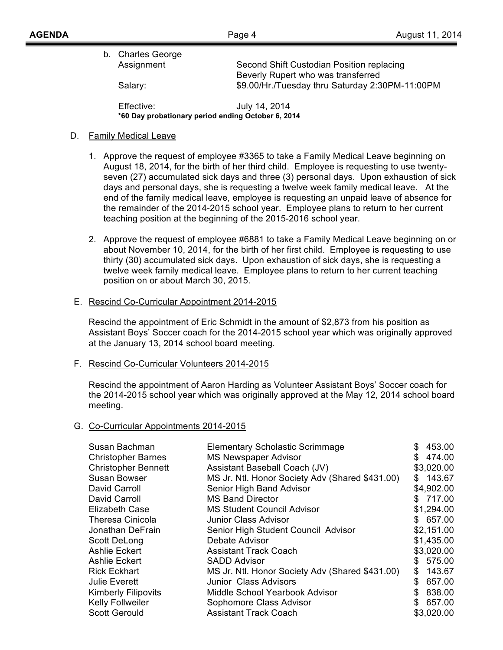| b. Charles George |                                                 |
|-------------------|-------------------------------------------------|
| Assignment        | Second Shift Custodian Position replacing       |
|                   | Beverly Rupert who was transferred              |
| Salary:           | \$9.00/Hr./Tuesday thru Saturday 2:30PM-11:00PM |
|                   |                                                 |

Effective: July 14, 2014 **\*60 Day probationary period ending October 6, 2014**

# D. Family Medical Leave

- 1. Approve the request of employee #3365 to take a Family Medical Leave beginning on August 18, 2014, for the birth of her third child. Employee is requesting to use twentyseven (27) accumulated sick days and three (3) personal days. Upon exhaustion of sick days and personal days, she is requesting a twelve week family medical leave. At the end of the family medical leave, employee is requesting an unpaid leave of absence for the remainder of the 2014-2015 school year. Employee plans to return to her current teaching position at the beginning of the 2015-2016 school year.
- 2. Approve the request of employee #6881 to take a Family Medical Leave beginning on or about November 10, 2014, for the birth of her first child. Employee is requesting to use thirty (30) accumulated sick days. Upon exhaustion of sick days, she is requesting a twelve week family medical leave. Employee plans to return to her current teaching position on or about March 30, 2015.

# E. Rescind Co-Curricular Appointment 2014-2015

Rescind the appointment of Eric Schmidt in the amount of \$2,873 from his position as Assistant Boys' Soccer coach for the 2014-2015 school year which was originally approved at the January 13, 2014 school board meeting.

# F. Rescind Co-Curricular Volunteers 2014-2015

Rescind the appointment of Aaron Harding as Volunteer Assistant Boys' Soccer coach for the 2014-2015 school year which was originally approved at the May 12, 2014 school board meeting.

# G. Co-Curricular Appointments 2014-2015

| Susan Bachman              | <b>Elementary Scholastic Scrimmage</b>          | \$  | 453.00     |
|----------------------------|-------------------------------------------------|-----|------------|
| <b>Christopher Barnes</b>  | <b>MS Newspaper Advisor</b>                     |     | \$474.00   |
| <b>Christopher Bennett</b> | Assistant Baseball Coach (JV)                   |     | \$3,020.00 |
| Susan Bowser               | MS Jr. Ntl. Honor Society Adv (Shared \$431.00) |     | \$143.67   |
| David Carroll              | Senior High Band Advisor                        |     | \$4,902.00 |
| David Carroll              | <b>MS Band Director</b>                         |     | \$717.00   |
| <b>Elizabeth Case</b>      | <b>MS Student Council Advisor</b>               |     | \$1,294.00 |
| <b>Theresa Cinicola</b>    | Junior Class Advisor                            |     | \$657.00   |
| Jonathan DeFrain           | Senior High Student Council Advisor             |     | \$2,151.00 |
| Scott DeLong               | Debate Advisor                                  |     | \$1,435.00 |
| <b>Ashlie Eckert</b>       | <b>Assistant Track Coach</b>                    |     | \$3,020.00 |
| <b>Ashlie Eckert</b>       | <b>SADD Advisor</b>                             | S   | 575.00     |
| <b>Rick Eckhart</b>        | MS Jr. Ntl. Honor Society Adv (Shared \$431.00) |     | \$143.67   |
| <b>Julie Everett</b>       | Junior Class Advisors                           | \$. | 657.00     |
| <b>Kimberly Filipovits</b> | Middle School Yearbook Advisor                  | S   | 838.00     |
| Kelly Follweiler           | Sophomore Class Advisor                         | \$  | 657.00     |
| <b>Scott Gerould</b>       | <b>Assistant Track Coach</b>                    |     | \$3,020.00 |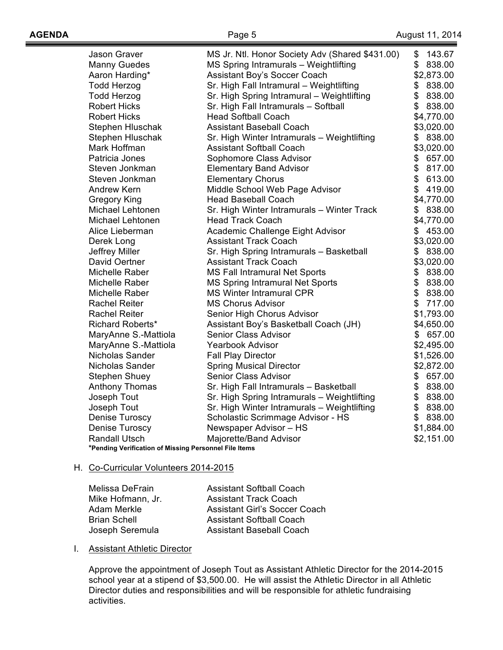| <b>Jason Graver</b>                                   | MS Jr. Ntl. Honor Society Adv (Shared \$431.00) | \$<br>143.67 |
|-------------------------------------------------------|-------------------------------------------------|--------------|
| <b>Manny Guedes</b>                                   | MS Spring Intramurals - Weightlifting           | \$<br>838.00 |
| Aaron Harding*                                        | Assistant Boy's Soccer Coach                    | \$2,873.00   |
| <b>Todd Herzog</b>                                    | Sr. High Fall Intramural - Weightlifting        | \$<br>838.00 |
| <b>Todd Herzog</b>                                    | Sr. High Spring Intramural - Weightlifting      | \$<br>838.00 |
| <b>Robert Hicks</b>                                   | Sr. High Fall Intramurals - Softball            | \$<br>838.00 |
| <b>Robert Hicks</b>                                   | <b>Head Softball Coach</b>                      | \$4,770.00   |
| Stephen Hluschak                                      | <b>Assistant Baseball Coach</b>                 | \$3,020.00   |
| Stephen Hluschak                                      | Sr. High Winter Intramurals - Weightlifting     | \$<br>838.00 |
| Mark Hoffman                                          | <b>Assistant Softball Coach</b>                 | \$3,020.00   |
| Patricia Jones                                        | Sophomore Class Advisor                         | \$657.00     |
| Steven Jonkman                                        | <b>Elementary Band Advisor</b>                  | \$817.00     |
| Steven Jonkman                                        | <b>Elementary Chorus</b>                        | \$613.00     |
| <b>Andrew Kern</b>                                    | Middle School Web Page Advisor                  | \$<br>419.00 |
| <b>Gregory King</b>                                   | <b>Head Baseball Coach</b>                      | \$4,770.00   |
| Michael Lehtonen                                      | Sr. High Winter Intramurals - Winter Track      | \$<br>838.00 |
| Michael Lehtonen                                      | <b>Head Track Coach</b>                         | \$4,770.00   |
| Alice Lieberman                                       | Academic Challenge Eight Advisor                | \$<br>453.00 |
| Derek Long                                            | <b>Assistant Track Coach</b>                    | \$3,020.00   |
| Jeffrey Miller                                        | Sr. High Spring Intramurals - Basketball        | \$<br>838.00 |
| David Oertner                                         | <b>Assistant Track Coach</b>                    | \$3,020.00   |
| Michelle Raber                                        | MS Fall Intramural Net Sports                   | \$<br>838.00 |
| Michelle Raber                                        | MS Spring Intramural Net Sports                 | \$<br>838.00 |
| Michelle Raber                                        | <b>MS Winter Intramural CPR</b>                 | \$<br>838.00 |
| <b>Rachel Reiter</b>                                  | <b>MS Chorus Advisor</b>                        | \$<br>717.00 |
| <b>Rachel Reiter</b>                                  | Senior High Chorus Advisor                      | \$1,793.00   |
| Richard Roberts*                                      | Assistant Boy's Basketball Coach (JH)           | \$4,650.00   |
| MaryAnne S.-Mattiola                                  | <b>Senior Class Advisor</b>                     | \$<br>657.00 |
| MaryAnne S.-Mattiola                                  | <b>Yearbook Advisor</b>                         | \$2,495.00   |
| Nicholas Sander                                       | <b>Fall Play Director</b>                       | \$1,526.00   |
| Nicholas Sander                                       | <b>Spring Musical Director</b>                  | \$2,872.00   |
| <b>Stephen Shuey</b>                                  | Senior Class Advisor                            | \$657.00     |
| Anthony Thomas                                        | Sr. High Fall Intramurals - Basketball          | \$<br>838.00 |
| Joseph Tout                                           | Sr. High Spring Intramurals - Weightlifting     | \$ 838.00    |
| Joseph Tout                                           | Sr. High Winter Intramurals - Weightlifting     | \$838.00     |
| Denise Turoscy                                        | Scholastic Scrimmage Advisor - HS               | \$<br>838.00 |
| <b>Denise Turoscy</b>                                 | Newspaper Advisor - HS                          | \$1,884.00   |
| <b>Randall Utsch</b>                                  | Majorette/Band Advisor                          | \$2,151.00   |
| *Pending Verification of Missing Personnel File Items |                                                 |              |

#### H. Co-Curricular Volunteers 2014-2015

| Melissa DeFrain     | <b>Assistant Softball Coach</b> |
|---------------------|---------------------------------|
| Mike Hofmann, Jr.   | <b>Assistant Track Coach</b>    |
| Adam Merkle         | Assistant Girl's Soccer Coach   |
| <b>Brian Schell</b> | <b>Assistant Softball Coach</b> |
| Joseph Seremula     | <b>Assistant Baseball Coach</b> |

#### I. Assistant Athletic Director

Approve the appointment of Joseph Tout as Assistant Athletic Director for the 2014-2015 school year at a stipend of \$3,500.00. He will assist the Athletic Director in all Athletic Director duties and responsibilities and will be responsible for athletic fundraising activities.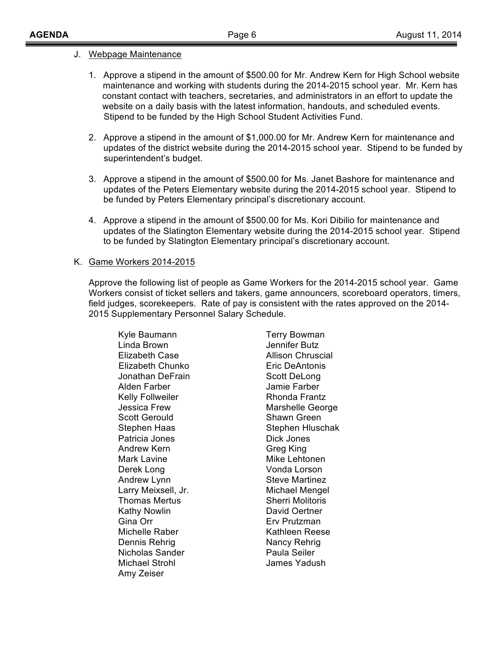## J. Webpage Maintenance

- 1. Approve a stipend in the amount of \$500.00 for Mr. Andrew Kern for High School website maintenance and working with students during the 2014-2015 school year. Mr. Kern has constant contact with teachers, secretaries, and administrators in an effort to update the website on a daily basis with the latest information, handouts, and scheduled events. Stipend to be funded by the High School Student Activities Fund.
- 2. Approve a stipend in the amount of \$1,000.00 for Mr. Andrew Kern for maintenance and updates of the district website during the 2014-2015 school year. Stipend to be funded by superintendent's budget.
- 3. Approve a stipend in the amount of \$500.00 for Ms. Janet Bashore for maintenance and updates of the Peters Elementary website during the 2014-2015 school year. Stipend to be funded by Peters Elementary principal's discretionary account.
- 4. Approve a stipend in the amount of \$500.00 for Ms. Kori Dibilio for maintenance and updates of the Slatington Elementary website during the 2014-2015 school year. Stipend to be funded by Slatington Elementary principal's discretionary account.

## K. Game Workers 2014-2015

Approve the following list of people as Game Workers for the 2014-2015 school year. Game Workers consist of ticket sellers and takers, game announcers, scoreboard operators, timers, field judges, scorekeepers. Rate of pay is consistent with the rates approved on the 2014- 2015 Supplementary Personnel Salary Schedule.

Kyle Baumann Terry Bowman Linda Brown Jennifer Butz Elizabeth Case **Allison Chruscial**  Elizabeth Chunko Eric DeAntonis Jonathan DeFrain Scott DeLong Alden Farber Jamie Farber Kelly Follweiler **Rhonda Frantz** Jessica Frew **Marshelle George** Scott Gerould Shawn Green Stephen Haas Stephen Hluschak Patricia Jones **Dick Jones** Andrew Kern Greg King Mark Lavine **Mike Lehtonen** Derek Long Vonda Lorson Andrew Lynn Steve Martinez Larry Meixsell, Jr. **Michael Mengel** Thomas Mertus **Sherri Molitoris** Kathy Nowlin **David Oertner** Gina Orr **Erv Prutzman** Michelle Raber Neese Kathleen Reese Dennis Rehrig Nancy Rehrig Nicholas Sander **Paula Seiler** Michael Strohl James Yadush Amy Zeiser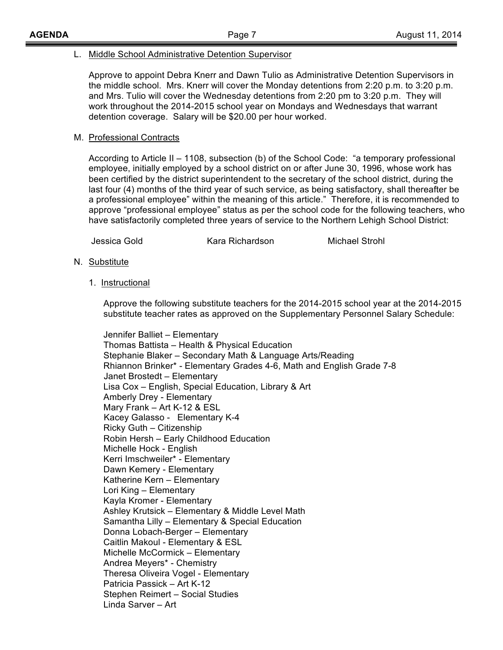## L. Middle School Administrative Detention Supervisor

Approve to appoint Debra Knerr and Dawn Tulio as Administrative Detention Supervisors in the middle school. Mrs. Knerr will cover the Monday detentions from 2:20 p.m. to 3:20 p.m. and Mrs. Tulio will cover the Wednesday detentions from 2:20 pm to 3:20 p.m. They will work throughout the 2014-2015 school year on Mondays and Wednesdays that warrant detention coverage. Salary will be \$20.00 per hour worked.

# M. Professional Contracts

According to Article II – 1108, subsection (b) of the School Code: "a temporary professional employee, initially employed by a school district on or after June 30, 1996, whose work has been certified by the district superintendent to the secretary of the school district, during the last four (4) months of the third year of such service, as being satisfactory, shall thereafter be a professional employee" within the meaning of this article." Therefore, it is recommended to approve "professional employee" status as per the school code for the following teachers, who have satisfactorily completed three years of service to the Northern Lehigh School District:

Jessica Gold Kara Richardson Michael Strohl

- N. Substitute
	- 1. Instructional

Approve the following substitute teachers for the 2014-2015 school year at the 2014-2015 substitute teacher rates as approved on the Supplementary Personnel Salary Schedule:

Jennifer Balliet – Elementary Thomas Battista – Health & Physical Education Stephanie Blaker – Secondary Math & Language Arts/Reading Rhiannon Brinker\* - Elementary Grades 4-6, Math and English Grade 7-8 Janet Brostedt – Elementary Lisa Cox – English, Special Education, Library & Art Amberly Drey - Elementary Mary Frank – Art K-12 & ESL Kacey Galasso - Elementary K-4 Ricky Guth – Citizenship Robin Hersh – Early Childhood Education Michelle Hock - English Kerri Imschweiler\* - Elementary Dawn Kemery - Elementary Katherine Kern – Elementary Lori King – Elementary Kayla Kromer - Elementary Ashley Krutsick – Elementary & Middle Level Math Samantha Lilly – Elementary & Special Education Donna Lobach-Berger – Elementary Caitlin Makoul - Elementary & ESL Michelle McCormick – Elementary Andrea Meyers\* - Chemistry Theresa Oliveira Vogel - Elementary Patricia Passick – Art K-12 Stephen Reimert – Social Studies Linda Sarver – Art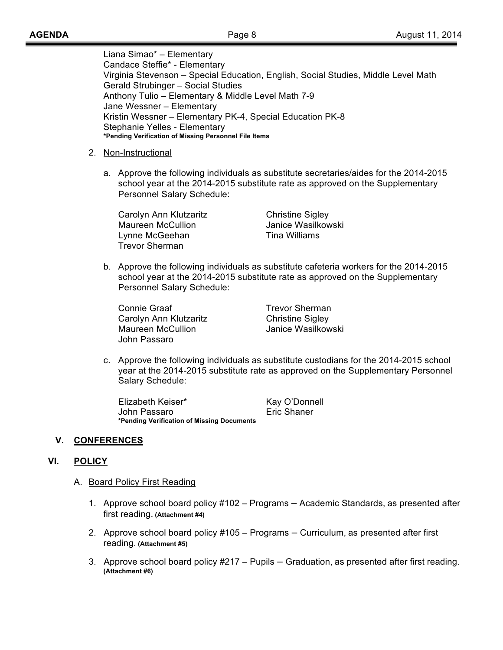Liana Simao\* – Elementary Candace Steffie\* - Elementary Virginia Stevenson – Special Education, English, Social Studies, Middle Level Math Gerald Strubinger – Social Studies Anthony Tulio – Elementary & Middle Level Math 7-9 Jane Wessner – Elementary Kristin Wessner – Elementary PK-4, Special Education PK-8 Stephanie Yelles - Elementary **\*Pending Verification of Missing Personnel File Items**

## 2. Non-Instructional

a. Approve the following individuals as substitute secretaries/aides for the 2014-2015 school year at the 2014-2015 substitute rate as approved on the Supplementary Personnel Salary Schedule:

Carolyn Ann Klutzaritz **Christine Sigley** Maureen McCullion **Maureen McCullion** Janice Wasilkowski Lynne McGeehan Tina Williams Trevor Sherman

b. Approve the following individuals as substitute cafeteria workers for the 2014-2015 school year at the 2014-2015 substitute rate as approved on the Supplementary Personnel Salary Schedule:

Connie Graaf Trevor Sherman Carolyn Ann Klutzaritz **Christine Sigley** Maureen McCullion **Maureen McCullion** Janice Wasilkowski John Passaro

c. Approve the following individuals as substitute custodians for the 2014-2015 school year at the 2014-2015 substitute rate as approved on the Supplementary Personnel Salary Schedule:

Elizabeth Keiser\* Kay O'Donnell John Passaro **Eric Shaner \*Pending Verification of Missing Documents**

# **V. CONFERENCES**

# **VI. POLICY**

## A. Board Policy First Reading

- 1. Approve school board policy #102 Programs Academic Standards, as presented after first reading. **(Attachment #4)**
- 2. Approve school board policy #105 Programs Curriculum, as presented after first reading. **(Attachment #5)**
- 3. Approve school board policy #217 Pupils Graduation, as presented after first reading. **(Attachment #6)**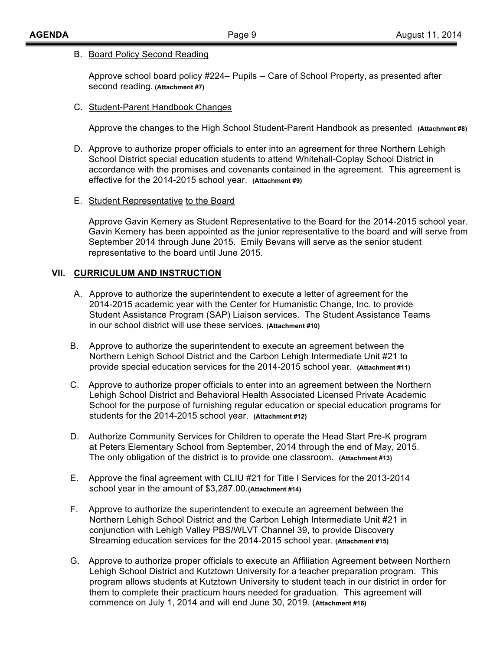### B. Board Policy Second Reading

Approve school board policy #224– Pupils – Care of School Property, as presented after second reading. **(Attachment #7)**

### C. Student-Parent Handbook Changes

Approve the changes to the High School Student-Parent Handbook as presented. **(Attachment #8)**

- D. Approve to authorize proper officials to enter into an agreement for three Northern Lehigh School District special education students to attend Whitehall-Coplay School District in accordance with the promises and covenants contained in the agreement. This agreement is effective for the 2014-2015 school year. **(Attachment #9)**
- E. Student Representative to the Board

Approve Gavin Kemery as Student Representative to the Board for the 2014-2015 school year. Gavin Kemery has been appointed as the junior representative to the board and will serve from September 2014 through June 2015. Emily Bevans will serve as the senior student representative to the board until June 2015.

## **VII. CURRICULUM AND INSTRUCTION**

- A. Approve to authorize the superintendent to execute a letter of agreement for the 2014-2015 academic year with the Center for Humanistic Change, Inc. to provide Student Assistance Program (SAP) Liaison services. The Student Assistance Teams in our school district will use these services. **(Attachment #10)**
- B. Approve to authorize the superintendent to execute an agreement between the Northern Lehigh School District and the Carbon Lehigh Intermediate Unit #21 to provide special education services for the 2014-2015 school year. **(Attachment #11)**
- C. Approve to authorize proper officials to enter into an agreement between the Northern Lehigh School District and Behavioral Health Associated Licensed Private Academic School for the purpose of furnishing regular education or special education programs for students for the 2014-2015 school year. **(Attachment #12)**
- D. Authorize Community Services for Children to operate the Head Start Pre-K program at Peters Elementary School from September, 2014 through the end of May, 2015. The only obligation of the district is to provide one classroom. **(Attachment #13)**
- E. Approve the final agreement with CLIU #21 for Title I Services for the 2013-2014 school year in the amount of \$3,287.00.**(Attachment #14)**
- F. Approve to authorize the superintendent to execute an agreement between the Northern Lehigh School District and the Carbon Lehigh Intermediate Unit #21 in conjunction with Lehigh Valley PBS/WLVT Channel 39, to provide Discovery Streaming education services for the 2014-2015 school year. **(Attachment #15)**
- G. Approve to authorize proper officials to execute an Affiliation Agreement between Northern Lehigh School District and Kutztown University for a teacher preparation program. This program allows students at Kutztown University to student teach in our district in order for them to complete their practicum hours needed for graduation. This agreement will commence on July 1, 2014 and will end June 30, 2019. (**Attachment #16)**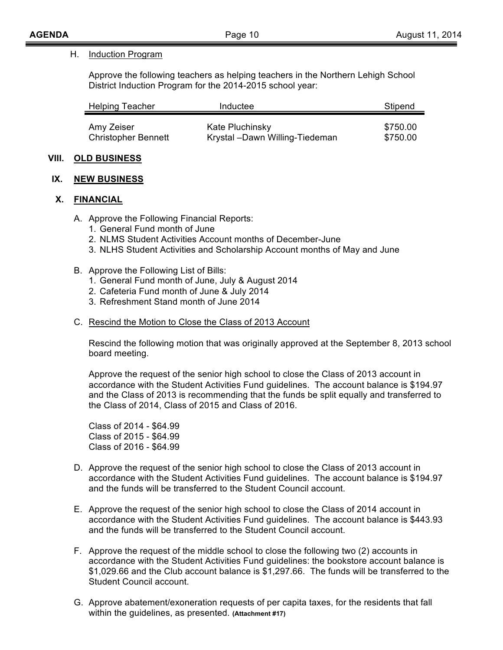#### H. Induction Program

Approve the following teachers as helping teachers in the Northern Lehigh School District Induction Program for the 2014-2015 school year:

| <b>Helping Teacher</b>     | Inductee                        | Stipend  |
|----------------------------|---------------------------------|----------|
| Amy Zeiser                 | Kate Pluchinsky                 | \$750.00 |
| <b>Christopher Bennett</b> | Krystal - Dawn Willing-Tiedeman | \$750.00 |

#### **VIII. OLD BUSINESS**

#### **IX. NEW BUSINESS**

#### **X. FINANCIAL**

- A. Approve the Following Financial Reports:
	- 1. General Fund month of June
	- 2. NLMS Student Activities Account months of December-June
	- 3. NLHS Student Activities and Scholarship Account months of May and June
- B. Approve the Following List of Bills:
	- 1. General Fund month of June, July & August 2014
	- 2. Cafeteria Fund month of June & July 2014
	- 3. Refreshment Stand month of June 2014
- C. Rescind the Motion to Close the Class of 2013 Account

Rescind the following motion that was originally approved at the September 8, 2013 school board meeting.

Approve the request of the senior high school to close the Class of 2013 account in accordance with the Student Activities Fund guidelines. The account balance is \$194.97 and the Class of 2013 is recommending that the funds be split equally and transferred to the Class of 2014, Class of 2015 and Class of 2016.

Class of 2014 - \$64.99 Class of 2015 - \$64.99 Class of 2016 - \$64.99

- D. Approve the request of the senior high school to close the Class of 2013 account in accordance with the Student Activities Fund guidelines. The account balance is \$194.97 and the funds will be transferred to the Student Council account.
- E. Approve the request of the senior high school to close the Class of 2014 account in accordance with the Student Activities Fund guidelines. The account balance is \$443.93 and the funds will be transferred to the Student Council account.
- F. Approve the request of the middle school to close the following two (2) accounts in accordance with the Student Activities Fund guidelines: the bookstore account balance is \$1,029.66 and the Club account balance is \$1,297.66. The funds will be transferred to the Student Council account.
- G. Approve abatement/exoneration requests of per capita taxes, for the residents that fall within the guidelines, as presented. **(Attachment #17)**